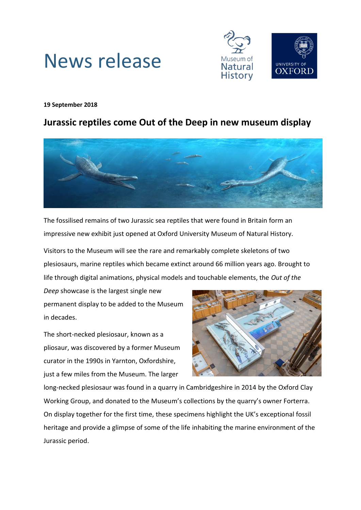

# News release

## **19 September 2018**

## **Jurassic reptiles come Out of the Deep in new museum display**



The fossilised remains of two Jurassic sea reptiles that were found in Britain form an impressive new exhibit just opened at Oxford University Museum of Natural History.

Visitors to the Museum will see the rare and remarkably complete skeletons of two plesiosaurs, marine reptiles which became extinct around 66 million years ago. Brought to life through digital animations, physical models and touchable elements, the *Out of the* 

*Deep* showcase is the largest single new permanent display to be added to the Museum in decades.

The short-necked plesiosaur, known as a pliosaur, was discovered by a former Museum curator in the 1990s in Yarnton, Oxfordshire, just a few miles from the Museum. The larger



long-necked plesiosaur was found in a quarry in Cambridgeshire in 2014 by the Oxford Clay Working Group, and donated to the Museum's collections by the quarry's owner Forterra. On display together for the first time, these specimens highlight the UK's exceptional fossil heritage and provide a glimpse of some of the life inhabiting the marine environment of the Jurassic period.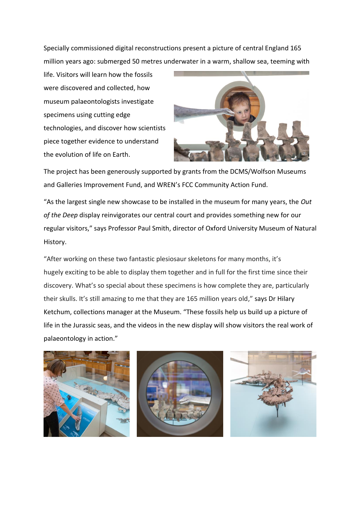Specially commissioned digital reconstructions present a picture of central England 165 million years ago: submerged 50 metres underwater in a warm, shallow sea, teeming with

life. Visitors will learn how the fossils were discovered and collected, how museum palaeontologists investigate specimens using cutting edge technologies, and discover how scientists piece together evidence to understand the evolution of life on Earth.



The project has been generously supported by grants from the DCMS/Wolfson Museums and Galleries Improvement Fund, and WREN's FCC Community Action Fund.

"As the largest single new showcase to be installed in the museum for many years, the *Out of the Deep* display reinvigorates our central court and provides something new for our regular visitors," says Professor Paul Smith, director of Oxford University Museum of Natural History.

"After working on these two fantastic plesiosaur skeletons for many months, it's hugely exciting to be able to display them together and in full for the first time since their discovery. What's so special about these specimens is how complete they are, particularly their skulls. It's still amazing to me that they are 165 million years old," says Dr Hilary Ketchum, collections manager at the Museum. "These fossils help us build up a picture of life in the Jurassic seas, and the videos in the new display will show visitors the real work of palaeontology in action."